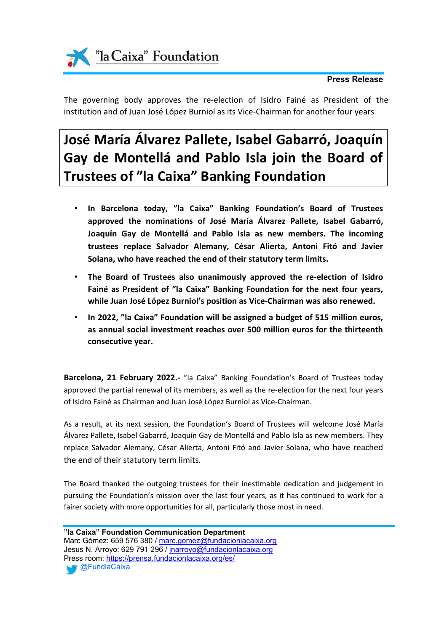

# **Press Release**

The governing body approves the re-election of Isidro Fainé as President of the institution and of Juan José López Burniol as its Vice-Chairman for another four years

# **José María Álvarez Pallete, Isabel Gabarró, Joaquín Gay de Montellá and Pablo Isla join the Board of Trustees of "la Caixa" Banking Foundation**

- **In Barcelona today, "la Caixa" Banking Foundation's Board of Trustees approved the nominations of José María Álvarez Pallete, Isabel Gabarró, Joaquín Gay de Montellá and Pablo Isla as new members. The incoming trustees replace Salvador Alemany, César Alierta, Antoni Fitó and Javier Solana, who have reached the end of their statutory term limits.**
- **The Board of Trustees also unanimously approved the re-election of Isidro Fainé as President of "la Caixa" Banking Foundation for the next four years, while Juan José López Burniol's position as Vice-Chairman was also renewed.**
- **In 2022, "la Caixa" Foundation will be assigned a budget of 515 million euros, as annual social investment reaches over 500 million euros for the thirteenth consecutive year.**

**Barcelona, 21 February 2022.-** "la Caixa" Banking Foundation's Board of Trustees today approved the partial renewal of its members, as well as the re-election for the next four years of Isidro Fainé as Chairman and Juan José López Burniol as Vice-Chairman.

As a result, at its next session, the Foundation's Board of Trustees will welcome José María Álvarez Pallete, Isabel Gabarró, Joaquín Gay de Montellá and Pablo Isla as new members. They replace Salvador Alemany, César Alierta, Antoni Fitó and Javier Solana, who have reached the end of their statutory term limits.

The Board thanked the outgoing trustees for their inestimable dedication and judgement in pursuing the Foundation's mission over the last four years, as it has continued to work for a fairer society with more opportunities for all, particularly those most in need.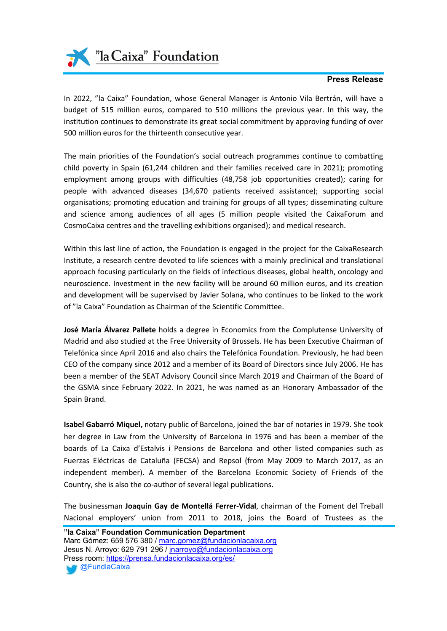

### **Press Release**

In 2022, "la Caixa" Foundation, whose General Manager is Antonio Vila Bertrán, will have a budget of 515 million euros, compared to 510 millions the previous year. In this way, the institution continues to demonstrate its great social commitment by approving funding of over 500 million euros for the thirteenth consecutive year.

The main priorities of the Foundation's social outreach programmes continue to combatting child poverty in Spain (61,244 children and their families received care in 2021); promoting employment among groups with difficulties (48,758 job opportunities created); caring for people with advanced diseases (34,670 patients received assistance); supporting social organisations; promoting education and training for groups of all types; disseminating culture and science among audiences of all ages (5 million people visited the CaixaForum and CosmoCaixa centres and the travelling exhibitions organised); and medical research.

Within this last line of action, the Foundation is engaged in the project for the CaixaResearch Institute, a research centre devoted to life sciences with a mainly preclinical and translational approach focusing particularly on the fields of infectious diseases, global health, oncology and neuroscience. Investment in the new facility will be around 60 million euros, and its creation and development will be supervised by Javier Solana, who continues to be linked to the work of "la Caixa" Foundation as Chairman of the Scientific Committee.

**José María Álvarez Pallete** holds a degree in Economics from the Complutense University of Madrid and also studied at the Free University of Brussels. He has been Executive Chairman of Telefónica since April 2016 and also chairs the Telefónica Foundation. Previously, he had been CEO of the company since 2012 and a member of its Board of Directors since July 2006. He has been a member of the SEAT Advisory Council since March 2019 and Chairman of the Board of the GSMA since February 2022. In 2021, he was named as an Honorary Ambassador of the Spain Brand.

**Isabel Gabarró Miquel,** notary public of Barcelona, joined the bar of notaries in 1979. She took her degree in Law from the University of Barcelona in 1976 and has been a member of the boards of La Caixa d'Estalvis i Pensions de Barcelona and other listed companies such as Fuerzas Eléctricas de Cataluña (FECSA) and Repsol (from May 2009 to March 2017, as an independent member). A member of the Barcelona Economic Society of Friends of the Country, she is also the co-author of several legal publications.

The businessman **Joaquín Gay de Montellá Ferrer-Vidal**, chairman of the Foment del Treball Nacional employers' union from 2011 to 2018, joins the Board of Trustees as the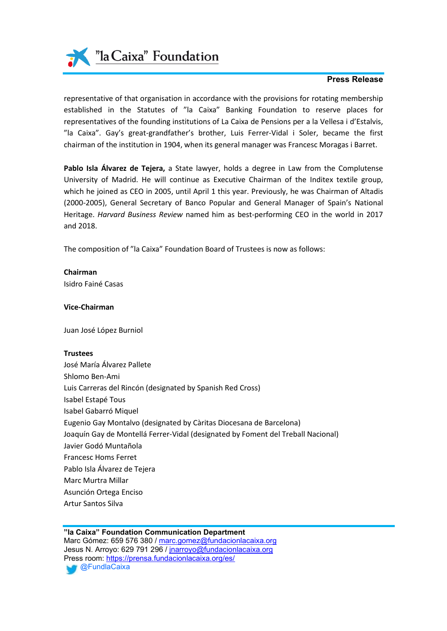"la Caixa" Foundation

## **Press Release**

representative of that organisation in accordance with the provisions for rotating membership established in the Statutes of "la Caixa" Banking Foundation to reserve places for representatives of the founding institutions of La Caixa de Pensions per a la Vellesa i d'Estalvis, "la Caixa". Gay's great-grandfather's brother, Luis Ferrer-Vidal i Soler, became the first chairman of the institution in 1904, when its general manager was Francesc Moragas i Barret.

**Pablo Isla Álvarez de Tejera,** a State lawyer, holds a degree in Law from the Complutense University of Madrid. He will continue as Executive Chairman of the Inditex textile group, which he joined as CEO in 2005, until April 1 this year. Previously, he was Chairman of Altadis (2000-2005), General Secretary of Banco Popular and General Manager of Spain's National Heritage. *Harvard Business Review* named him as best-performing CEO in the world in 2017 and 2018.

The composition of "la Caixa" Foundation Board of Trustees is now as follows:

**Chairman** Isidro Fainé Casas

**Vice-Chairman**

Juan José López Burniol

#### **Trustees**

José María Álvarez Pallete Shlomo Ben-Ami Luis Carreras del Rincón (designated by Spanish Red Cross) Isabel Estapé Tous Isabel Gabarró Miquel Eugenio Gay Montalvo (designated by Càritas Diocesana de Barcelona) Joaquín Gay de Montellá Ferrer-Vidal (designated by Foment del Treball Nacional) Javier Godó Muntañola Francesc Homs Ferret Pablo Isla Álvarez de Tejera Marc Murtra Millar Asunción Ortega Enciso Artur Santos Silva

**"la Caixa" Foundation Communication Department** Marc Gómez: 659 576 380 / [marc.gomez@fundacionlacaixa.org](mailto:marc.gomez@fundacionlacaixa.org) Jesus N. Arroyo: 629 791 296 / [jnarroyo@fundacionlacaixa.org](mailto:jnarroyo@fundacionlacaixa.org) Press room: <https://prensa.fundacionlacaixa.org/es/>

**@FundlaCaixa**